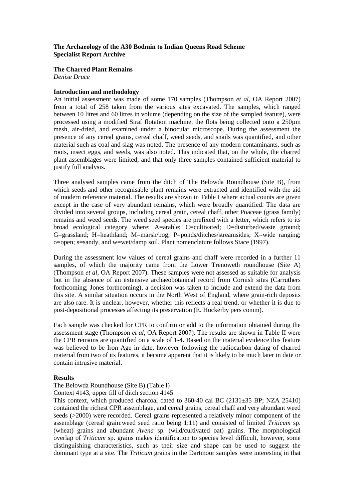# **The Archaeology of the A30 Bodmin to Indian Queens Road Scheme Specialist Report Archive**

## **The Charred Plant Remains**

*Denise Druce*

### **Introduction and methodology**

An initial assessment was made of some 170 samples (Thompson *et al*, OA Report 2007) from a total of 258 taken from the various sites excavated. The samples, which ranged between 10 litres and 60 litres in volume (depending on the size of the sampled feature), were processed using a modified Siraf flotation machine, the flots being collected onto a 250µm mesh, air-dried, and examined under a binocular microscope. During the assessment the presence of any cereal grains, cereal chaff, weed seeds, and snails was quantified, and other material such as coal and slag was noted. The presence of any modern contaminants, such as roots, insect eggs, and seeds, was also noted. This indicated that, on the whole, the charred plant assemblages were limited, and that only three samples contained sufficient material to justify full analysis.

Three analysed samples came from the ditch of The Belowda Roundhouse (Site B), from which seeds and other recognisable plant remains were extracted and identified with the aid of modern reference material. The results are shown in Table I where actual counts are given except in the case of very abundant remains, which were broadly quantified. The data are divided into several groups, including cereal grain, cereal chaff, other Poaceae (grass family) remains and weed seeds. The weed seed species are prefixed with a letter, which refers to its broad ecological category where: A=arable; C=cultivated; D=disturbed/waste ground; G=grassland; H=heathland; M=marsh/bog; P=ponds/ditches/streamsides; X=wide ranging; o=open; s=sandy, and w=wet/damp soil. Plant nomenclature follows Stace (1997).

During the assessment low values of cereal grains and chaff were recorded in a further 11 samples, of which the majority came from the Lower Trenoweth roundhouse (Site A) (Thompson *et al*, OA Report 2007). These samples were not assessed as suitable for analysis but in the absence of an extensive archaeobotanical record from Cornish sites (Carruthers forthcoming; Jones forthcoming), a decision was taken to include and extend the data from this site. A similar situation occurs in the North West of England, where grain-rich deposits are also rare. It is unclear, however, whether this reflects a real trend, or whether it is due to post-depositional processes affecting its preservation (E. Huckerby pers comm).

Each sample was checked for CPR to confirm or add to the information obtained during the assessment stage (Thompson *et al*, OA Report 2007). The results are shown in Table II were the CPR remains are quantified on a scale of 1-4. Based on the material evidence this feature was believed to be Iron Age in date, however following the radiocarbon dating of charred material from two of its features, it became apparent that it is likely to be much later in date or contain intrusive material.

### **Results**

# The Belowda Roundhouse (Site B) (Table I)

Context 4143, upper fill of ditch section 4145

This context, which produced charcoal dated to 360-40 cal BC (2131±35 BP; NZA 25410) contained the richest CPR assemblage, and cereal grains, cereal chaff and very abundant weed seeds (>2000) were recorded. Cereal grains represented a relatively minor component of the assemblage (cereal grain:weed seed ratio being 1:11) and consisted of limited *Triticum* sp. (wheat) grains and abundant *Avena* sp. (wild/cultivated oat) grains. The morphological overlap of *Triticum* sp. grains makes identification to species level difficult, however, some distinguishing characteristics, such as their size and shape can be used to suggest the dominant type at a site. The *Triticum* grains in the Dartmoor samples were interesting in that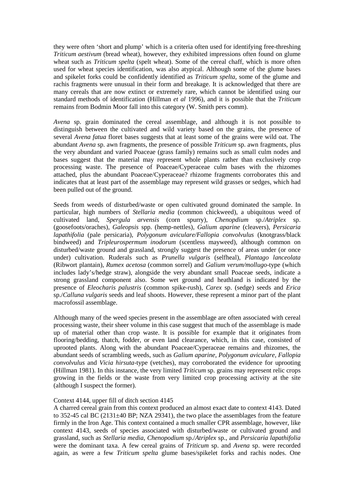they were often 'short and plump' which is a criteria often used for identifying free-threshing *Triticum aestivum* (bread wheat), however, they exhibited impressions often found on glume wheat such as *Triticum spelta* (spelt wheat). Some of the cereal chaff, which is more often used for wheat species identification, was also atypical. Although some of the glume bases and spikelet forks could be confidently identified as *Triticum spelta*, some of the glume and rachis fragments were unusual in their form and breakage. It is acknowledged that there are many cereals that are now extinct or extremely rare, which cannot be identified using our standard methods of identification (Hillman *et al* 1996), and it is possible that the *Triticum* remains from Bodmin Moor fall into this category (W. Smith pers comm).

*Avena* sp. grain dominated the cereal assemblage, and although it is not possible to distinguish between the cultivated and wild variety based on the grains, the presence of several *Avena fatua* floret bases suggests that at least some of the grains were wild oat. The abundant *Avena* sp. awn fragments, the presence of possible *Triticum* sp. awn fragments, plus the very abundant and varied Poaceae (grass family) remains such as small culm nodes and bases suggest that the material may represent whole plants rather than exclusively crop processing waste. The presence of Poaceae/Cyperaceae culm bases with the rhizomes attached, plus the abundant Poaceae/Cyperaceae? rhizome fragments corroborates this and indicates that at least part of the assemblage may represent wild grasses or sedges, which had been pulled out of the ground.

Seeds from weeds of disturbed/waste or open cultivated ground dominated the sample. In particular, high numbers of *Stellaria media* (common chickweed), a ubiquitous weed of cultivated land, *Spergula arvensis* (corn spurry), *Chenopdium* sp./*Atriplex* sp. (goosefoots/oraches), *Galeopsis* spp. (hemp-nettles), *Galium aparine* (cleavers), *Persicaria lapathifolia* (pale persicaria), *Polygonum aviculare/Fallopia convolvulus* (knotgrass/black bindweed) and *Tripleurospermum inodorum* (scentless mayweed), although common on disturbed/waste ground and grassland, strongly suggest the presence of areas under (or once under) cultivation. Ruderals such as *Prunella vulgaris* (selfheal), *Plantago lanceolata* (Ribwort plantain), *Rumex acetosa* (common sorrel) and *Galium verum/mollugo*-type (which includes lady's/hedge straw), alongside the very abundant small Poaceae seeds, indicate a strong grassland component also. Some wet ground and heathland is indicated by the presence of *Eleocharis palustris* (common spike-rush), *Carex* sp. (sedge) seeds and *Erica* sp./*Calluna vulgaris* seeds and leaf shoots. However, these represent a minor part of the plant macrofossil assemblage.

Although many of the weed species present in the assemblage are often associated with cereal processing waste, their sheer volume in this case suggest that much of the assemblage is made up of material other than crop waste. It is possible for example that it originates from flooring/bedding, thatch, fodder, or even land clearance, which, in this case, consisted of uprooted plants. Along with the abundant Poaceae/Cyperaceae remains and rhizomes, the abundant seeds of scrambling weeds, such as *Galium aparine*, *Polygonum aviculare*, *Fallopia convolvulus* and *Vicia hirsuta*-type (vetches), may corroborated the evidence for uprooting (Hillman 1981). In this instance, the very limited *Triticum* sp. grains may represent relic crops growing in the fields or the waste from very limited crop processing activity at the site (although I suspect the former).

#### Context 4144, upper fill of ditch section 4145

A charred cereal grain from this context produced an almost exact date to context 4143. Dated to 352-45 cal BC  $(2131\pm40$  BP; NZA 29341), the two place the assemblages from the feature firmly in the Iron Age. This context contained a much smaller CPR assemblage, however, like context 4143, seeds of species associated with disturbed/waste or cultivated ground and grassland, such as *Stellaria media*, *Chenopodium* sp./*Atriplex* sp., and *Persicaria lapathifolia* were the dominant taxa. A few cereal grains of *Triticum* sp. and *Avena* sp. were recorded again, as were a few *Triticum spelta* glume bases/spikelet forks and rachis nodes. One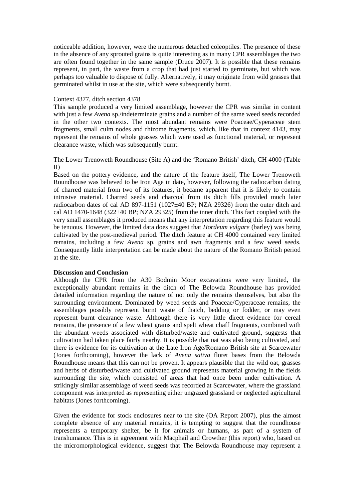noticeable addition, however, were the numerous detached coleoptiles. The presence of these in the absence of any sprouted grains is quite interesting as in many CPR assemblages the two are often found together in the same sample (Druce 2007). It is possible that these remains represent, in part, the waste from a crop that had just started to germinate, but which was perhaps too valuable to dispose of fully. Alternatively, it may originate from wild grasses that germinated whilst in use at the site, which were subsequently burnt.

### Context 4377, ditch section 4378

This sample produced a very limited assemblage, however the CPR was similar in content with just a few *Avena* sp./indeterminate grains and a number of the same weed seeds recorded in the other two contexts. The most abundant remains were Poaceae/Cyperaceae stem fragments, small culm nodes and rhizome fragments, which, like that in context 4143, may represent the remains of whole grasses which were used as functional material, or represent clearance waste, which was subsequently burnt.

## The Lower Trenoweth Roundhouse (Site A) and the 'Romano British' ditch, CH 4000 (Table II)

Based on the pottery evidence, and the nature of the feature itself, The Lower Trenoweth Roundhouse was believed to be Iron Age in date, however, following the radiocarbon dating of charred material from two of its features, it became apparent that it is likely to contain intrusive material. Charred seeds and charcoal from its ditch fills provided much later radiocarbon dates of cal AD 897-1151 (1027±40 BP; NZA 29326) from the outer ditch and cal AD 1470-1648 (322 $\pm$ 40 BP; NZA 29325) from the inner ditch. This fact coupled with the very small assemblages it produced means that any interpretation regarding this feature would be tenuous. However, the limited data does suggest that *Hordeum vulgare* (barley) was being cultivated by the post-medieval period. The ditch feature at CH 4000 contained very limited remains, including a few *Avena* sp. grains and awn fragments and a few weed seeds. Consequently little interpretation can be made about the nature of the Romano British period at the site.

## **Discussion and Conclusion**

Although the CPR from the A30 Bodmin Moor excavations were very limited, the exceptionally abundant remains in the ditch of The Belowda Roundhouse has provided detailed information regarding the nature of not only the remains themselves, but also the surrounding environment. Dominated by weed seeds and Poaceae/Cyperaceae remains, the assemblages possibly represent burnt waste of thatch, bedding or fodder, or may even represent burnt clearance waste. Although there is very little direct evidence for cereal remains, the presence of a few wheat grains and spelt wheat chaff fragments, combined with the abundant weeds associated with disturbed/waste and cultivated ground, suggests that cultivation had taken place fairly nearby. It is possible that oat was also being cultivated, and there is evidence for its cultivation at the Late Iron Age/Romano British site at Scarcewater (Jones forthcoming), however the lack of *Avena sativa* floret bases from the Belowda Roundhouse means that this can not be proven. It appears plausible that the wild oat, grasses and herbs of disturbed/waste and cultivated ground represents material growing in the fields surrounding the site, which consisted of areas that had once been under cultivation. A strikingly similar assemblage of weed seeds was recorded at Scarcewater, where the grassland component was interpreted as representing either ungrazed grassland or neglected agricultural habitats (Jones forthcoming).

Given the evidence for stock enclosures near to the site (OA Report 2007), plus the almost complete absence of any material remains, it is tempting to suggest that the roundhouse represents a temporary shelter, be it for animals or humans, as part of a system of transhumance. This is in agreement with Macphail and Crowther (this report) who, based on the micromorphological evidence, suggest that The Belowda Roundhouse may represent a